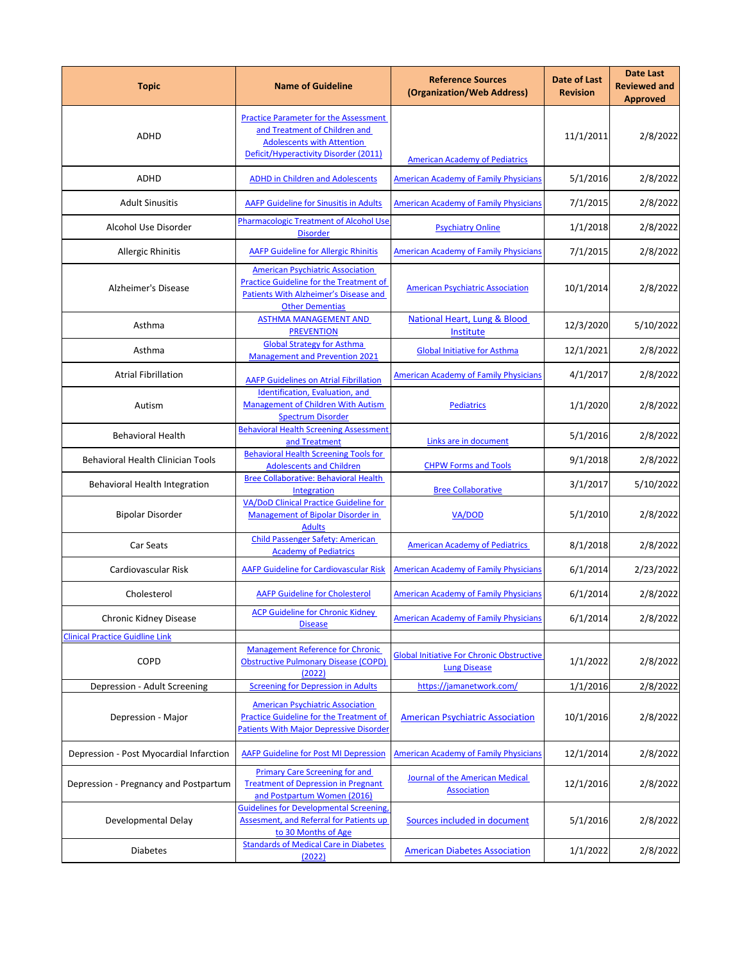| <b>Topic</b>                             | <b>Name of Guideline</b>                                                                                                                                     | <b>Reference Sources</b><br>(Organization/Web Address)                  | <b>Date of Last</b><br><b>Revision</b> | <b>Date Last</b><br><b>Reviewed and</b><br><b>Approved</b> |
|------------------------------------------|--------------------------------------------------------------------------------------------------------------------------------------------------------------|-------------------------------------------------------------------------|----------------------------------------|------------------------------------------------------------|
| ADHD                                     | <b>Practice Parameter for the Assessment</b><br>and Treatment of Children and<br><b>Adolescents with Attention</b><br>Deficit/Hyperactivity Disorder (2011)  | <b>American Academy of Pediatrics</b>                                   | 11/1/2011                              | 2/8/2022                                                   |
| <b>ADHD</b>                              | <b>ADHD in Children and Adolescents</b>                                                                                                                      | <b>American Academy of Family Physicians</b>                            | 5/1/2016                               | 2/8/2022                                                   |
| <b>Adult Sinusitis</b>                   | <b>AAFP Guideline for Sinusitis in Adults</b>                                                                                                                | <b>American Academy of Family Physicians</b>                            | 7/1/2015                               | 2/8/2022                                                   |
| Alcohol Use Disorder                     | <b>Pharmacologic Treatment of Alcohol Use</b>                                                                                                                | <b>Psychiatry Online</b>                                                | 1/1/2018                               | 2/8/2022                                                   |
| Allergic Rhinitis                        | <b>Disorder</b><br><b>AAFP Guideline for Allergic Rhinitis</b>                                                                                               | <b>American Academy of Family Physicians</b>                            | 7/1/2015                               | 2/8/2022                                                   |
| Alzheimer's Disease                      | <b>American Psychiatric Association</b><br><b>Practice Guideline for the Treatment of</b><br>Patients With Alzheimer's Disease and<br><b>Other Dementias</b> | <b>American Psychiatric Association</b>                                 | 10/1/2014                              | 2/8/2022                                                   |
| Asthma                                   | <b>ASTHMA MANAGEMENT AND</b><br><b>PREVENTION</b>                                                                                                            | <b>National Heart, Lung &amp; Blood</b><br>Institute                    | 12/3/2020                              | 5/10/2022                                                  |
| Asthma                                   | <b>Global Strategy for Asthma</b><br><b>Management and Prevention 2021</b>                                                                                   | <b>Global Initiative for Asthma</b>                                     | 12/1/2021                              | 2/8/2022                                                   |
| <b>Atrial Fibrillation</b>               | <b>AAFP Guidelines on Atrial Fibrillation</b>                                                                                                                | <b>American Academy of Family Physicians</b>                            | 4/1/2017                               | 2/8/2022                                                   |
| Autism                                   | Identification, Evaluation, and<br><b>Management of Children With Autism</b><br><b>Spectrum Disorder</b>                                                     | <b>Pediatrics</b>                                                       | 1/1/2020                               | 2/8/2022                                                   |
| <b>Behavioral Health</b>                 | <b>Behavioral Health Screening Assessment</b><br>and Treatment                                                                                               | Links are in document                                                   | 5/1/2016                               | 2/8/2022                                                   |
| <b>Behavioral Health Clinician Tools</b> | <b>Behavioral Health Screening Tools for</b><br><b>Adolescents and Children</b>                                                                              | <b>CHPW Forms and Tools</b>                                             | 9/1/2018                               | 2/8/2022                                                   |
| Behavioral Health Integration            | <b>Bree Collaborative: Behavioral Health</b><br>Integration                                                                                                  | <b>Bree Collaborative</b>                                               | 3/1/2017                               | 5/10/2022                                                  |
| <b>Bipolar Disorder</b>                  | VA/DoD Clinical Practice Guideline for<br><b>Management of Bipolar Disorder in</b><br><b>Adults</b>                                                          | VA/DOD                                                                  | 5/1/2010                               | 2/8/2022                                                   |
| Car Seats                                | <b>Child Passenger Safety: American</b><br><b>Academy of Pediatrics</b>                                                                                      | <b>American Academy of Pediatrics</b>                                   | 8/1/2018                               | 2/8/2022                                                   |
| Cardiovascular Risk                      | <b>AAFP Guideline for Cardiovascular Risk</b>                                                                                                                | <b>American Academy of Family Physicians</b>                            | 6/1/2014                               | 2/23/2022                                                  |
| Cholesterol                              | <b>AAFP Guideline for Cholesterol</b>                                                                                                                        | <b>American Academy of Family Physicians</b>                            | 6/1/2014                               | 2/8/2022                                                   |
| Chronic Kidney Disease                   | <b>ACP Guideline for Chronic Kidney</b><br><b>Disease</b>                                                                                                    | <b>American Academy of Family Physicians</b>                            | 6/1/2014                               | 2/8/2022                                                   |
| <b>Clinical Practice Guidline Link</b>   |                                                                                                                                                              |                                                                         |                                        |                                                            |
| COPD                                     | <b>Management Reference for Chronic</b><br><b>Obstructive Pulmonary Disease (COPD)</b><br>(2022)                                                             | <b>Global Initiative For Chronic Obstructive</b><br><b>Lung Disease</b> | 1/1/2022                               | 2/8/2022                                                   |
| Depression - Adult Screening             | <b>Screening for Depression in Adults</b>                                                                                                                    | https://jamanetwork.com/                                                | 1/1/2016                               | 2/8/2022                                                   |
| Depression - Major                       | <b>American Psychiatric Association</b><br><b>Practice Guideline for the Treatment of</b><br><b>Patients With Major Depressive Disorder</b>                  | <b>American Psychiatric Association</b>                                 | 10/1/2016                              | 2/8/2022                                                   |
| Depression - Post Myocardial Infarction  | <b>AAFP Guideline for Post MI Depression</b>                                                                                                                 | <b>American Academy of Family Physicians</b>                            | 12/1/2014                              | 2/8/2022                                                   |
| Depression - Pregnancy and Postpartum    | <b>Primary Care Screening for and</b><br><b>Treatment of Depression in Pregnant</b><br>and Postpartum Women (2016)                                           | Journal of the American Medical<br><b>Association</b>                   | 12/1/2016                              | 2/8/2022                                                   |
| Developmental Delay                      | <b>Guidelines for Developmental Screening,</b><br>Assesment, and Referral for Patients up<br>to 30 Months of Age                                             | Sources included in document                                            | 5/1/2016                               | 2/8/2022                                                   |
| <b>Diabetes</b>                          | <b>Standards of Medical Care in Diabetes</b><br>(2022)                                                                                                       | <b>American Diabetes Association</b>                                    | 1/1/2022                               | 2/8/2022                                                   |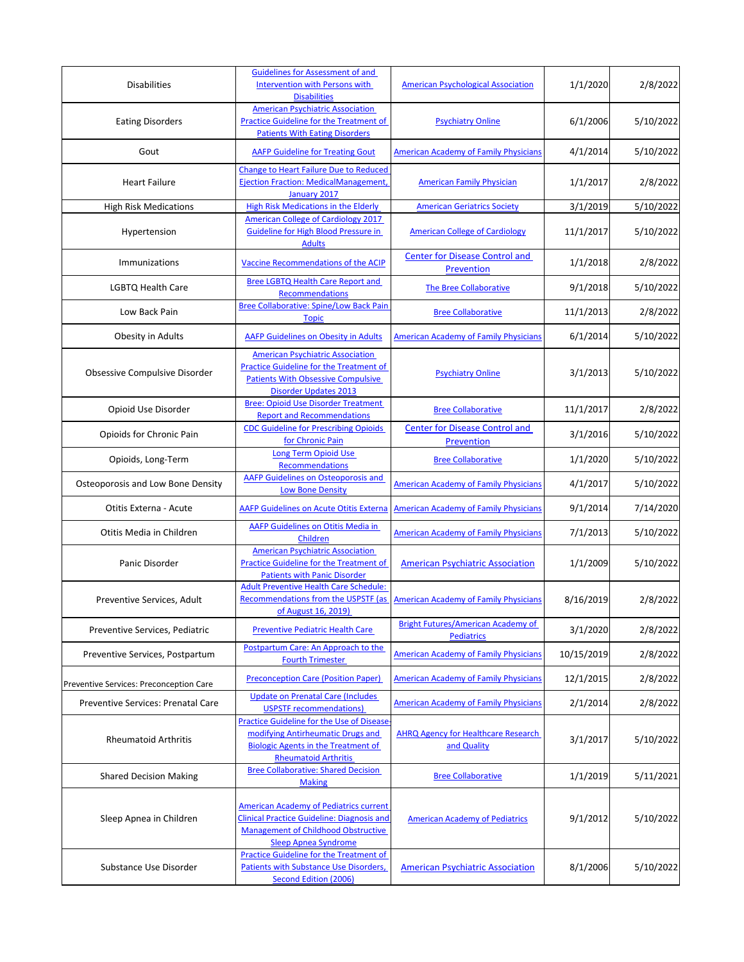| <b>Disabilities</b>                     | <b>Guidelines for Assessment of and</b><br><b>Intervention with Persons with</b><br><b>Disabilities</b>                                                                         | <b>American Psychological Association</b>                  | 1/1/2020   | 2/8/2022  |
|-----------------------------------------|---------------------------------------------------------------------------------------------------------------------------------------------------------------------------------|------------------------------------------------------------|------------|-----------|
| <b>Eating Disorders</b>                 | <b>American Psychiatric Association</b><br>Practice Guideline for the Treatment of<br><b>Patients With Eating Disorders</b>                                                     | <b>Psychiatry Online</b>                                   | 6/1/2006   | 5/10/2022 |
| Gout                                    | <b>AAFP Guideline for Treating Gout</b>                                                                                                                                         | <b>American Academy of Family Physicians</b>               | 4/1/2014   | 5/10/2022 |
| <b>Heart Failure</b>                    | Change to Heart Failure Due to Reduced<br>Ejection Fraction: MedicalManagement,<br>January 2017                                                                                 | <b>American Family Physician</b>                           | 1/1/2017   | 2/8/2022  |
| <b>High Risk Medications</b>            | <b>High Risk Medications in the Elderly</b>                                                                                                                                     | <b>American Geriatrics Society</b>                         | 3/1/2019   | 5/10/2022 |
| Hypertension                            | <b>American College of Cardiology 2017</b><br>Guideline for High Blood Pressure in<br><b>Adults</b>                                                                             | <b>American College of Cardiology</b>                      | 11/1/2017  | 5/10/2022 |
| Immunizations                           | Vaccine Recommendations of the ACIP                                                                                                                                             | <b>Center for Disease Control and</b><br>Prevention        | 1/1/2018   | 2/8/2022  |
| LGBTQ Health Care                       | <b>Bree LGBTQ Health Care Report and</b><br>Recommendations                                                                                                                     | The Bree Collaborative                                     | 9/1/2018   | 5/10/2022 |
| Low Back Pain                           | <b>Bree Collaborative: Spine/Low Back Pain</b><br><b>Topic</b>                                                                                                                  | <b>Bree Collaborative</b>                                  | 11/1/2013  | 2/8/2022  |
| Obesity in Adults                       | <b>AAFP Guidelines on Obesity in Adults</b>                                                                                                                                     | <b>American Academy of Family Physicians</b>               | 6/1/2014   | 5/10/2022 |
| Obsessive Compulsive Disorder           | <b>American Psychiatric Association</b><br><b>Practice Guideline for the Treatment of</b><br><b>Patients With Obsessive Compulsive</b><br><b>Disorder Updates 2013</b>          | <b>Psychiatry Online</b>                                   | 3/1/2013   | 5/10/2022 |
| Opioid Use Disorder                     | <b>Bree: Opioid Use Disorder Treatment</b><br><b>Report and Recommendations</b>                                                                                                 | <b>Bree Collaborative</b>                                  | 11/1/2017  | 2/8/2022  |
| Opioids for Chronic Pain                | <b>CDC Guideline for Prescribing Opioids</b><br>for Chronic Pain                                                                                                                | <b>Center for Disease Control and</b><br><b>Prevention</b> | 3/1/2016   | 5/10/2022 |
| Opioids, Long-Term                      | <b>Long Term Opioid Use</b><br>Recommendations                                                                                                                                  | <b>Bree Collaborative</b>                                  | 1/1/2020   | 5/10/2022 |
| Osteoporosis and Low Bone Density       | AAFP Guidelines on Osteoporosis and<br><b>Low Bone Density</b>                                                                                                                  | <b>American Academy of Family Physicians</b>               | 4/1/2017   | 5/10/2022 |
| Otitis Externa - Acute                  | <b>AAFP Guidelines on Acute Otitis Externa</b>                                                                                                                                  | <b>American Academy of Family Physicians</b>               | 9/1/2014   | 7/14/2020 |
| Otitis Media in Children                | AAFP Guidelines on Otitis Media in<br>Children                                                                                                                                  | <b>American Academy of Family Physicians</b>               | 7/1/2013   | 5/10/2022 |
| Panic Disorder                          | <b>American Psychiatric Association</b><br><b>Practice Guideline for the Treatment of</b><br><b>Patients with Panic Disorder</b>                                                | <b>American Psychiatric Association</b>                    | 1/1/2009   | 5/10/2022 |
| Preventive Services, Adult              | <b>Adult Preventive Health Care Schedule:</b><br>Recommendations from the USPSTF (as<br><u>of August 16, 2019)</u>                                                              | <b>American Academy of Family Physicians</b>               | 8/16/2019  | 2/8/2022  |
| Preventive Services, Pediatric          | <b>Preventive Pediatric Health Care</b>                                                                                                                                         | Bright Futures/American Academy of<br><b>Pediatrics</b>    | 3/1/2020   | 2/8/2022  |
| Preventive Services, Postpartum         | Postpartum Care: An Approach to the<br><b>Fourth Trimester</b>                                                                                                                  | <b>American Academy of Family Physicians</b>               | 10/15/2019 | 2/8/2022  |
| Preventive Services: Preconception Care | <b>Preconception Care (Position Paper)</b>                                                                                                                                      | <b>American Academy of Family Physicians</b>               | 12/1/2015  | 2/8/2022  |
| Preventive Services: Prenatal Care      | <b>Update on Prenatal Care (Includes)</b><br><b>USPSTF recommendations)</b>                                                                                                     | <b>American Academy of Family Physicians</b>               | 2/1/2014   | 2/8/2022  |
| <b>Rheumatoid Arthritis</b>             | <b>Practice Guideline for the Use of Disease</b><br>modifying Antirheumatic Drugs and<br><b>Biologic Agents in the Treatment of</b><br><b>Rheumatoid Arthritis</b>              | <b>AHRQ Agency for Healthcare Research</b><br>and Quality  | 3/1/2017   | 5/10/2022 |
| <b>Shared Decision Making</b>           | <b>Bree Collaborative: Shared Decision</b><br><b>Making</b>                                                                                                                     | <b>Bree Collaborative</b>                                  | 1/1/2019   | 5/11/2021 |
| Sleep Apnea in Children                 | <b>American Academy of Pediatrics current</b><br><b>Clinical Practice Guideline: Diagnosis and</b><br><b>Management of Childhood Obstructive</b><br><b>Sleep Apnea Syndrome</b> | <b>American Academy of Pediatrics</b>                      | 9/1/2012   | 5/10/2022 |
| Substance Use Disorder                  | Practice Guideline for the Treatment of<br><b>Patients with Substance Use Disorders,</b><br>Second Edition (2006)                                                               | <b>American Psychiatric Association</b>                    | 8/1/2006   | 5/10/2022 |